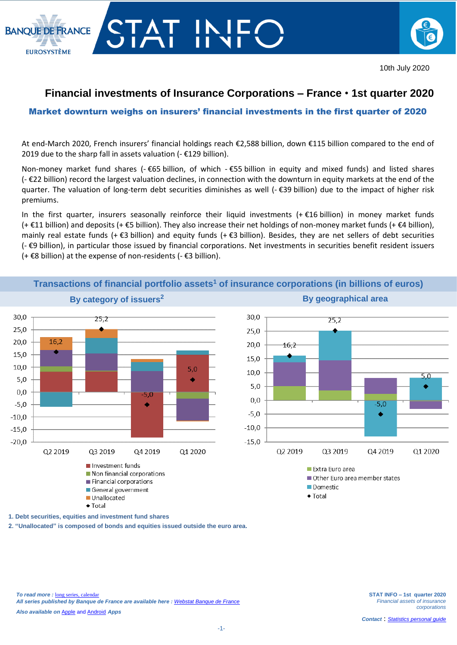



## **Financial investments of Insurance Corporations – France** • **1st quarter 2020**

## Market downturn weighs on insurers' financial investments in the first quarter of 2020

At end-March 2020, French insurers' financial holdings reach €2,588 billion, down €115 billion compared to the end of 2019 due to the sharp fall in assets valuation (- €129 billion).

Non-money market fund shares (- €65 billion, of which - €55 billion in equity and mixed funds) and listed shares (- €22 billion) record the largest valuation declines, in connection with the downturn in equity markets at the end of the quarter. The valuation of long-term debt securities diminishes as well (- €39 billion) due to the impact of higher risk premiums.

In the first quarter, insurers seasonally reinforce their liquid investments (+ $\epsilon$ 16 billion) in money market funds (+ €11 billion) and deposits (+ €5 billion). They also increase their net holdings of non-money market funds (+ €4 billion), mainly real estate funds (+ €3 billion) and equity funds (+ €3 billion). Besides, they are net sellers of debt securities (- €9 billion), in particular those issued by financial corporations. Net investments in securities benefit resident issuers (+ €8 billion) at the expense of non-residents (- €3 billion).



**Transactions of financial portfolio assets<sup>1</sup> of insurance corporations (in billions of euros)**

**1. Debt securities, equities and investment fund shares**

**2. "Unallocated" is composed of bonds and equities issued outside the euro area.**